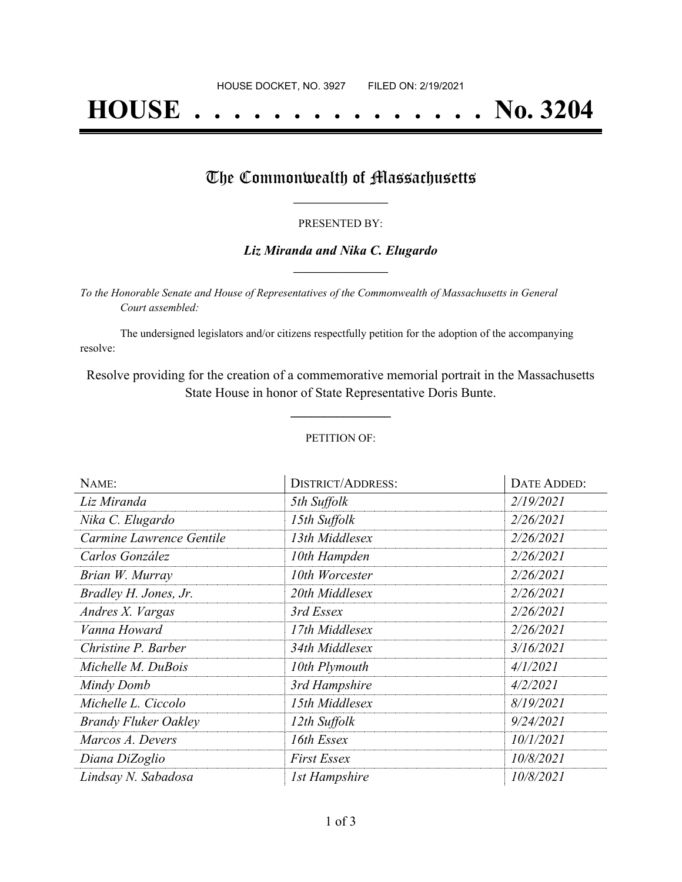# **HOUSE . . . . . . . . . . . . . . . No. 3204**

## The Commonwealth of Massachusetts

### PRESENTED BY:

## *Liz Miranda and Nika C. Elugardo* **\_\_\_\_\_\_\_\_\_\_\_\_\_\_\_\_\_**

*To the Honorable Senate and House of Representatives of the Commonwealth of Massachusetts in General Court assembled:*

The undersigned legislators and/or citizens respectfully petition for the adoption of the accompanying resolve:

Resolve providing for the creation of a commemorative memorial portrait in the Massachusetts State House in honor of State Representative Doris Bunte.

**\_\_\_\_\_\_\_\_\_\_\_\_\_\_\_**

#### PETITION OF:

| NAME:                       | <b>DISTRICT/ADDRESS:</b> | <b>DATE ADDED:</b> |
|-----------------------------|--------------------------|--------------------|
| Liz Miranda                 | 5th Suffolk              | 2/19/2021          |
| Nika C. Elugardo            | 15th Suffolk             | 2/26/2021          |
| Carmine Lawrence Gentile    | 13th Middlesex           | 2/26/2021          |
| Carlos González             | 10th Hampden             | 2/26/2021          |
| Brian W. Murray             | 10th Worcester           | 2/26/2021          |
| Bradley H. Jones, Jr.       | 20th Middlesex           | 2/26/2021          |
| Andres X. Vargas            | 3rd Essex                | 2/26/2021          |
| Vanna Howard                | 17th Middlesex           | 2/26/2021          |
| Christine P. Barber         | 34th Middlesex           | 3/16/2021          |
| Michelle M. DuBois          | 10th Plymouth            | 4/1/2021           |
| Mindy Domb                  | 3rd Hampshire            | 4/2/2021           |
| Michelle L. Ciccolo         | 15th Middlesex           | 8/19/2021          |
| <b>Brandy Fluker Oakley</b> | 12th Suffolk             | 9/24/2021          |
| Marcos A. Devers            | 16th Essex               | 10/1/2021          |
| Diana DiZoglio              | <b>First Essex</b>       | 10/8/2021          |
| Lindsay N. Sabadosa         | <b>1st Hampshire</b>     | 10/8/2021          |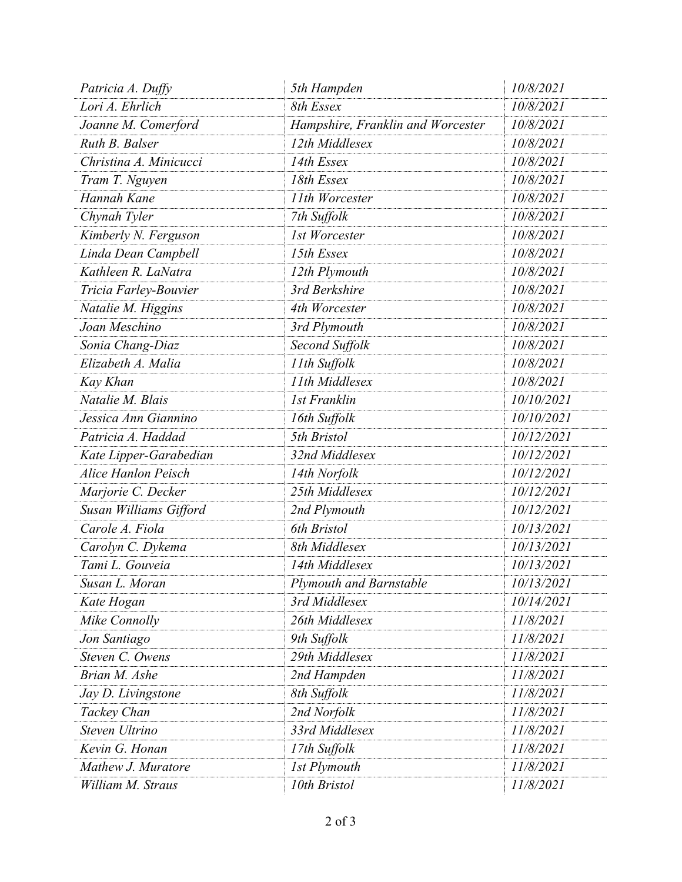| Patricia A. Duffy          | 5th Hampden                       | 10/8/2021  |
|----------------------------|-----------------------------------|------------|
| Lori A. Ehrlich            | 8th Essex                         | 10/8/2021  |
| Joanne M. Comerford        | Hampshire, Franklin and Worcester | 10/8/2021  |
| Ruth B. Balser             | 12th Middlesex                    | 10/8/2021  |
| Christina A. Minicucci     | 14th Essex                        | 10/8/2021  |
| Tram T. Nguyen             | 18th Essex                        | 10/8/2021  |
| Hannah Kane                | 11th Worcester                    | 10/8/2021  |
| Chynah Tyler               | 7th Suffolk                       | 10/8/2021  |
| Kimberly N. Ferguson       | 1st Worcester                     | 10/8/2021  |
| Linda Dean Campbell        | 15th Essex                        | 10/8/2021  |
| Kathleen R. LaNatra        | 12th Plymouth                     | 10/8/2021  |
| Tricia Farley-Bouvier      | 3rd Berkshire                     | 10/8/2021  |
| Natalie M. Higgins         | 4th Worcester                     | 10/8/2021  |
| Joan Meschino              | 3rd Plymouth                      | 10/8/2021  |
| Sonia Chang-Diaz           | Second Suffolk                    | 10/8/2021  |
| Elizabeth A. Malia         | 11th Suffolk                      | 10/8/2021  |
| Kay Khan                   | 11th Middlesex                    | 10/8/2021  |
| Natalie M. Blais           | <b>1st Franklin</b>               | 10/10/2021 |
| Jessica Ann Giannino       | 16th Suffolk                      | 10/10/2021 |
| Patricia A. Haddad         | 5th Bristol                       | 10/12/2021 |
| Kate Lipper-Garabedian     | 32nd Middlesex                    | 10/12/2021 |
| <b>Alice Hanlon Peisch</b> | 14th Norfolk                      | 10/12/2021 |
| Marjorie C. Decker         | 25th Middlesex                    | 10/12/2021 |
| Susan Williams Gifford     | 2nd Plymouth                      | 10/12/2021 |
| Carole A. Fiola            | 6th Bristol                       | 10/13/2021 |
| Carolyn C. Dykema          | 8th Middlesex                     | 10/13/2021 |
| Tami L. Gouveia            | 14th Middlesex                    | 10/13/2021 |
| Susan L. Moran             | Plymouth and Barnstable           | 10/13/2021 |
| Kate Hogan                 | 3rd Middlesex                     | 10/14/2021 |
| Mike Connolly              | 26th Middlesex                    | 11/8/2021  |
| Jon Santiago               | 9th Suffolk                       | 11/8/2021  |
| Steven C. Owens            | 29th Middlesex                    | 11/8/2021  |
| Brian M. Ashe              | 2nd Hampden                       | 11/8/2021  |
| Jay D. Livingstone         | 8th Suffolk                       | 11/8/2021  |
| Tackey Chan                | 2nd Norfolk                       | 11/8/2021  |
| Steven Ultrino             | 33rd Middlesex                    | 11/8/2021  |
| Kevin G. Honan             | 17th Suffolk                      | 11/8/2021  |
| Mathew J. Muratore         | <b>1st Plymouth</b>               | 11/8/2021  |
| William M. Straus          | 10th Bristol                      | 11/8/2021  |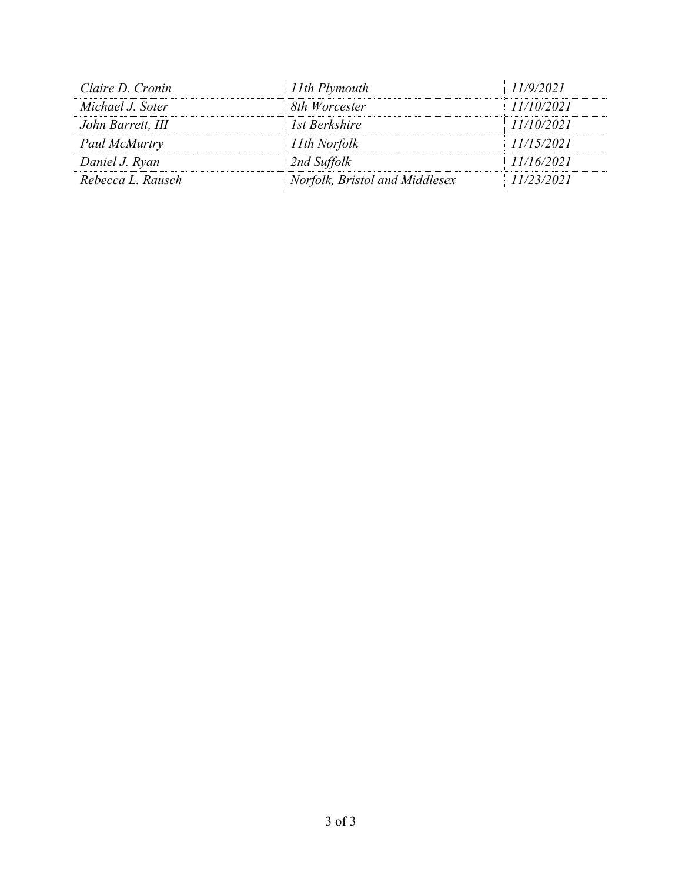| Claire D. Cronin  | 11th Plymouth                  | 11/9/2021  |
|-------------------|--------------------------------|------------|
| Michael J. Soter  | 8th Worcester                  | 11/10/2021 |
| John Barrett, III | 1st Berkshire                  | 11/10/2021 |
| Paul McMurtry     | 11th Norfolk                   | 11/15/2021 |
| Daniel J. Ryan    | 2nd Suffolk                    | 11/16/2021 |
| Rebecca L. Rausch | Norfolk, Bristol and Middlesex | 11/23/2021 |